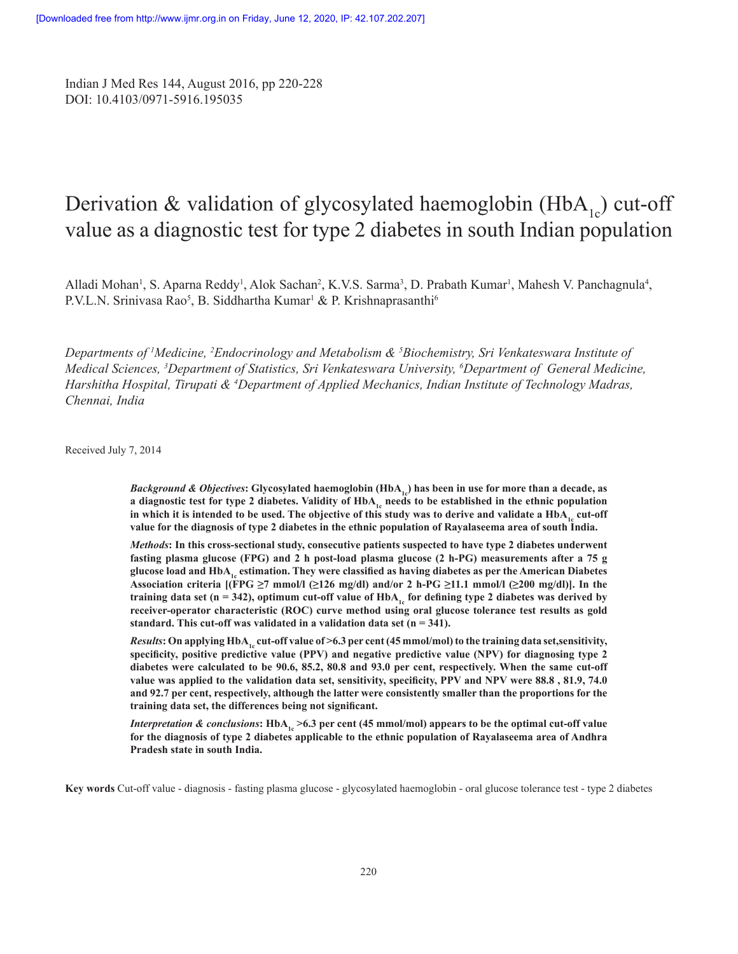Indian J Med Res 144, August 2016, pp 220-228 DOI: 10.4103/0971-5916.195035

# Derivation & validation of glycosylated haemoglobin  $(HbA<sub>1c</sub>)$  cut-off value as a diagnostic test for type 2 diabetes in south Indian population

Alladi Mohan<sup>1</sup>, S. Aparna Reddy<sup>1</sup>, Alok Sachan<sup>2</sup>, K.V.S. Sarma<sup>3</sup>, D. Prabath Kumar<sup>1</sup>, Mahesh V. Panchagnula<sup>4</sup>, P.V.L.N. Srinivasa Rao<sup>5</sup>, B. Siddhartha Kumar<sup>1</sup> & P. Krishnaprasanthi<sup>6</sup>

*Departments of <sup>1</sup> Medicine, <sup>2</sup> Endocrinology and Metabolism & 5 Biochemistry, Sri Venkateswara Institute of Medical Sciences, <sup>3</sup> Department of Statistics, Sri Venkateswara University, <sup>6</sup> Department of General Medicine, Harshitha Hospital, Tirupati & <sup>4</sup> Department of Applied Mechanics, Indian Institute of Technology Madras, Chennai, India*

Received July 7, 2014

*Background & Objectives*: Glycosylated haemoglobin (HbA<sub>1c</sub>) has been in use for more than a decade, as **a diagnostic test for type 2 diabetes. Validity of HbA<sub>1c</sub> needs to be established in the ethnic population** in which it is intended to be used. The objective of this study was to derive and validate a HbA<sub>1</sub>, cut-off **value for the diagnosis of type 2 diabetes in the ethnic population of Rayalaseema area of south India.**

*Methods***: In this cross-sectional study, consecutive patients suspected to have type 2 diabetes underwent fasting plasma glucose (FPG) and 2 h post-load plasma glucose (2 h-PG) measurements after a 75 g glucose load and HbA1c estimation. They were classified as having diabetes as per the American Diabetes**  Association criteria  $[(FPG \ge 7 \text{ mmol/l } (\ge 126 \text{ mg/dl}) \text{ and/or 2 h-PG } \ge 11.1 \text{ mmol/l } (\ge 200 \text{ mg/dl})].$  In the **training data set** ( $n = 342$ ), optimum cut-off value of HbA<sub>1c</sub> for defining type 2 diabetes was derived by **receiver-operator characteristic (ROC) curve method using oral glucose tolerance test results as gold standard. This cut-off was validated in a validation data set (n = 341).**

*Results*: On applying HbA<sub>1c</sub> cut-off value of >6.3 per cent (45 mmol/mol) to the training data set,sensitivity, **specificity, positive predictive value (PPV) and negative predictive value (NPV) for diagnosing type 2 diabetes were calculated to be 90.6, 85.2, 80.8 and 93.0 per cent, respectively. When the same cut-off value was applied to the validation data set, sensitivity, specificity, PPV and NPV were 88.8 , 81.9, 74.0 and 92.7 per cent, respectively, although the latter were consistently smaller than the proportions for the training data set, the differences being not significant.**

*Interpretation & conclusions***:** HbA<sub>1</sub>, >6.3 per cent (45 mmol/mol) appears to be the optimal cut-off value **for the diagnosis of type 2 diabetes applicable to the ethnic population of Rayalaseema area of Andhra Pradesh state in south India.**

**Key words** Cut-off value - diagnosis - fasting plasma glucose - glycosylated haemoglobin - oral glucose tolerance test - type 2 diabetes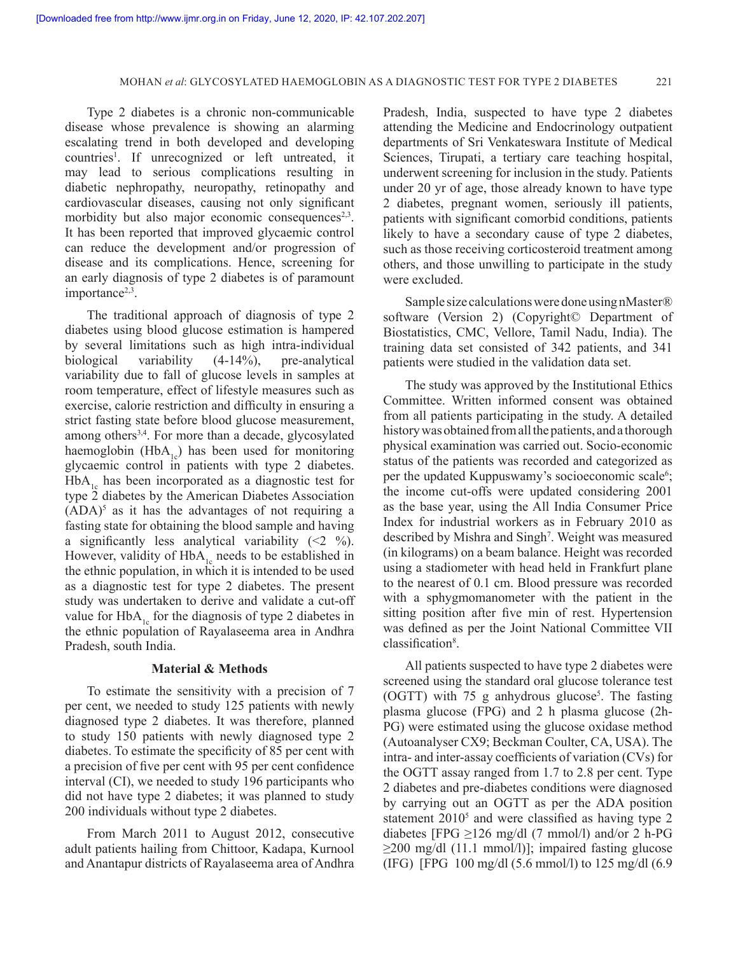Type 2 diabetes is a chronic non-communicable disease whose prevalence is showing an alarming escalating trend in both developed and developing countries<sup>1</sup>. If unrecognized or left untreated, it may lead to serious complications resulting in diabetic nephropathy, neuropathy, retinopathy and cardiovascular diseases, causing not only significant morbidity but also major economic consequences $2,3$ . It has been reported that improved glycaemic control can reduce the development and/or progression of disease and its complications. Hence, screening for an early diagnosis of type 2 diabetes is of paramount importance $2,3$ .

The traditional approach of diagnosis of type 2 diabetes using blood glucose estimation is hampered by several limitations such as high intra-individual biological variability (4-14%), pre-analytical variability due to fall of glucose levels in samples at room temperature, effect of lifestyle measures such as exercise, calorie restriction and difficulty in ensuring a strict fasting state before blood glucose measurement, among others<sup>3,4</sup>. For more than a decade, glycosylated haemoglobin  $(HbA_{1c})$  has been used for monitoring glycaemic control in patients with type 2 diabetes.  $HbA<sub>1c</sub>$  has been incorporated as a diagnostic test for type 2 diabetes by the American Diabetes Association  $(ADA)^5$  as it has the advantages of not requiring a fasting state for obtaining the blood sample and having a significantly less analytical variability  $(\leq 2 \%)$ . However, validity of  $HbA<sub>1c</sub>$  needs to be established in the ethnic population, in which it is intended to be used as a diagnostic test for type 2 diabetes. The present study was undertaken to derive and validate a cut-off value for  $HbA_{1c}$  for the diagnosis of type 2 diabetes in the ethnic population of Rayalaseema area in Andhra Pradesh, south India.

# **Material & Methods**

To estimate the sensitivity with a precision of 7 per cent, we needed to study 125 patients with newly diagnosed type 2 diabetes. It was therefore, planned to study 150 patients with newly diagnosed type 2 diabetes. To estimate the specificity of 85 per cent with a precision of five per cent with 95 per cent confidence interval (CI), we needed to study 196 participants who did not have type 2 diabetes; it was planned to study 200 individuals without type 2 diabetes.

From March 2011 to August 2012, consecutive adult patients hailing from Chittoor, Kadapa, Kurnool and Anantapur districts of Rayalaseema area of Andhra Pradesh, India, suspected to have type 2 diabetes attending the Medicine and Endocrinology outpatient departments of Sri Venkateswara Institute of Medical Sciences, Tirupati, a tertiary care teaching hospital, underwent screening for inclusion in the study. Patients under 20 yr of age, those already known to have type 2 diabetes, pregnant women, seriously ill patients, patients with significant comorbid conditions, patients likely to have a secondary cause of type 2 diabetes, such as those receiving corticosteroid treatment among others, and those unwilling to participate in the study were excluded.

Sample size calculations were done using nMaster® software (Version 2) (Copyright© Department of Biostatistics, CMC, Vellore, Tamil Nadu, India). The training data set consisted of 342 patients, and 341 patients were studied in the validation data set.

The study was approved by the Institutional Ethics Committee. Written informed consent was obtained from all patients participating in the study. A detailed history was obtained from all the patients, and a thorough physical examination was carried out. Socio-economic status of the patients was recorded and categorized as per the updated Kuppuswamy's socioeconomic scale<sup>6</sup>; the income cut-offs were updated considering 2001 as the base year, using the All India Consumer Price Index for industrial workers as in February 2010 as described by Mishra and Singh<sup>7</sup>. Weight was measured (in kilograms) on a beam balance. Height was recorded using a stadiometer with head held in Frankfurt plane to the nearest of 0.1 cm. Blood pressure was recorded with a sphygmomanometer with the patient in the sitting position after five min of rest. Hypertension was defined as per the Joint National Committee VII classification<sup>8</sup>.

All patients suspected to have type 2 diabetes were screened using the standard oral glucose tolerance test (OGTT) with 75 g anhydrous glucose<sup>5</sup>. The fasting plasma glucose (FPG) and 2 h plasma glucose (2h-PG) were estimated using the glucose oxidase method (Autoanalyser CX9; Beckman Coulter, CA, USA). The intra- and inter-assay coefficients of variation (CVs) for the OGTT assay ranged from 1.7 to 2.8 per cent. Type 2 diabetes and pre-diabetes conditions were diagnosed by carrying out an OGTT as per the ADA position statement 2010<sup>5</sup> and were classified as having type 2 diabetes [FPG  $\geq$ 126 mg/dl (7 mmol/l) and/or 2 h-PG  $\geq$ 200 mg/dl (11.1 mmol/l)]; impaired fasting glucose (IFG) [FPG 100 mg/dl (5.6 mmol/l) to 125 mg/dl (6.9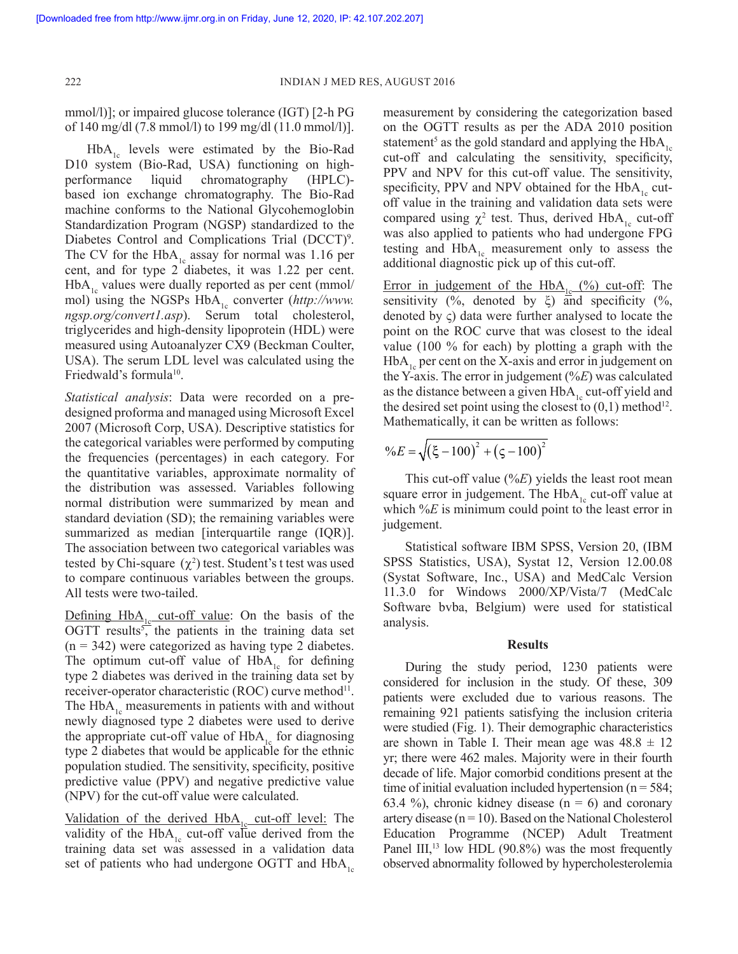mmol/l)]; or impaired glucose tolerance (IGT) [2-h PG of 140 mg/dl (7.8 mmol/l) to 199 mg/dl (11.0 mmol/l)].

 $HbA_{1c}$  levels were estimated by the Bio-Rad D10 system (Bio-Rad, USA) functioning on highperformance liquid chromatography (HPLC) based ion exchange chromatography. The Bio-Rad machine conforms to the National Glycohemoglobin Standardization Program (NGSP) standardized to the Diabetes Control and Complications Trial (DCCT)<sup>9</sup>. The CV for the  $HbA_{1c}$  assay for normal was 1.16 per cent, and for type 2 diabetes, it was 1.22 per cent.  $HbA<sub>1c</sub>$  values were dually reported as per cent (mmol/ mol) using the NGSPs HbA<sub>1c</sub> converter (*http://www. ngsp.org/convert1.asp*). Serum total cholesterol, triglycerides and high-density lipoprotein (HDL) were measured using Autoanalyzer CX9 (Beckman Coulter, USA). The serum LDL level was calculated using the Friedwald's formula<sup>10</sup>.

*Statistical analysis*: Data were recorded on a predesigned proforma and managed using Microsoft Excel 2007 (Microsoft Corp, USA). Descriptive statistics for the categorical variables were performed by computing the frequencies (percentages) in each category. For the quantitative variables, approximate normality of the distribution was assessed. Variables following normal distribution were summarized by mean and standard deviation (SD); the remaining variables were summarized as median [interquartile range (IQR)]. The association between two categorical variables was tested by Chi-square  $(\chi^2)$  test. Student's t test was used to compare continuous variables between the groups. All tests were two-tailed.

Defining  $HbA_{1c}$  cut-off value: On the basis of the OGTT results<sup>5</sup>, the patients in the training data set  $(n = 342)$  were categorized as having type 2 diabetes. The optimum cut-off value of  $HbA<sub>1c</sub>$  for defining type 2 diabetes was derived in the training data set by receiver-operator characteristic  $(ROC)$  curve method<sup>11</sup>. The  $HbA<sub>1c</sub>$  measurements in patients with and without newly diagnosed type 2 diabetes were used to derive the appropriate cut-off value of  $HbA_1$  for diagnosing type 2 diabetes that would be applicable for the ethnic population studied. The sensitivity, specificity, positive predictive value (PPV) and negative predictive value (NPV) for the cut-off value were calculated.

Validation of the derived  $HbA_{1c}$  cut-off level: The validity of the HbA<sub>1c</sub> cut-off value derived from the training data set was assessed in a validation data set of patients who had undergone OGTT and  $HbA_{1c}$  measurement by considering the categorization based on the OGTT results as per the ADA 2010 position statement<sup>5</sup> as the gold standard and applying the  $HbA_{1c}$ cut-off and calculating the sensitivity, specificity, PPV and NPV for this cut-off value. The sensitivity, specificity, PPV and NPV obtained for the  $HbA_{1c}$  cutoff value in the training and validation data sets were compared using  $\chi^2$  test. Thus, derived HbA<sub>1c</sub> cut-off was also applied to patients who had undergone FPG testing and  $HbA<sub>1c</sub>$  measurement only to assess the additional diagnostic pick up of this cut-off.

Error in judgement of the  $HbA_{1c}$  (%) cut-off: The sensitivity (%, denoted by  $\xi$ ) and specificity (%, denoted by ς) data were further analysed to locate the point on the ROC curve that was closest to the ideal value (100 % for each) by plotting a graph with the  $HbA_{1c}$  per cent on the X-axis and error in judgement on the Y-axis. The error in judgement (%*E*) was calculated as the distance between a given  $HbA<sub>1c</sub>$  cut-off yield and the desired set point using the closest to  $(0,1)$  method<sup>12</sup>. Mathematically, it can be written as follows:

$$
\%E = \sqrt{(\xi - 100)^2 + (\zeta - 100)^2}
$$

This cut-off value (%*E*) yields the least root mean square error in judgement. The  $HbA_{1c}$  cut-off value at which  $\frac{6}{E}$  is minimum could point to the least error in judgement.

Statistical software IBM SPSS, Version 20, (IBM SPSS Statistics, USA), Systat 12, Version 12.00.08 (Systat Software, Inc., USA) and MedCalc Version 11.3.0 for Windows 2000/XP/Vista/7 (MedCalc Software bvba, Belgium) were used for statistical analysis.

## **Results**

During the study period, 1230 patients were considered for inclusion in the study. Of these, 309 patients were excluded due to various reasons. The remaining 921 patients satisfying the inclusion criteria were studied (Fig. 1). Their demographic characteristics are shown in Table I. Their mean age was  $48.8 \pm 12$ yr; there were 462 males. Majority were in their fourth decade of life. Major comorbid conditions present at the time of initial evaluation included hypertension ( $n = 584$ ; 63.4 %), chronic kidney disease  $(n = 6)$  and coronary artery disease ( $n = 10$ ). Based on the National Cholesterol Education Programme (NCEP) Adult Treatment Panel III, $^{13}$  low HDL (90.8%) was the most frequently observed abnormality followed by hypercholesterolemia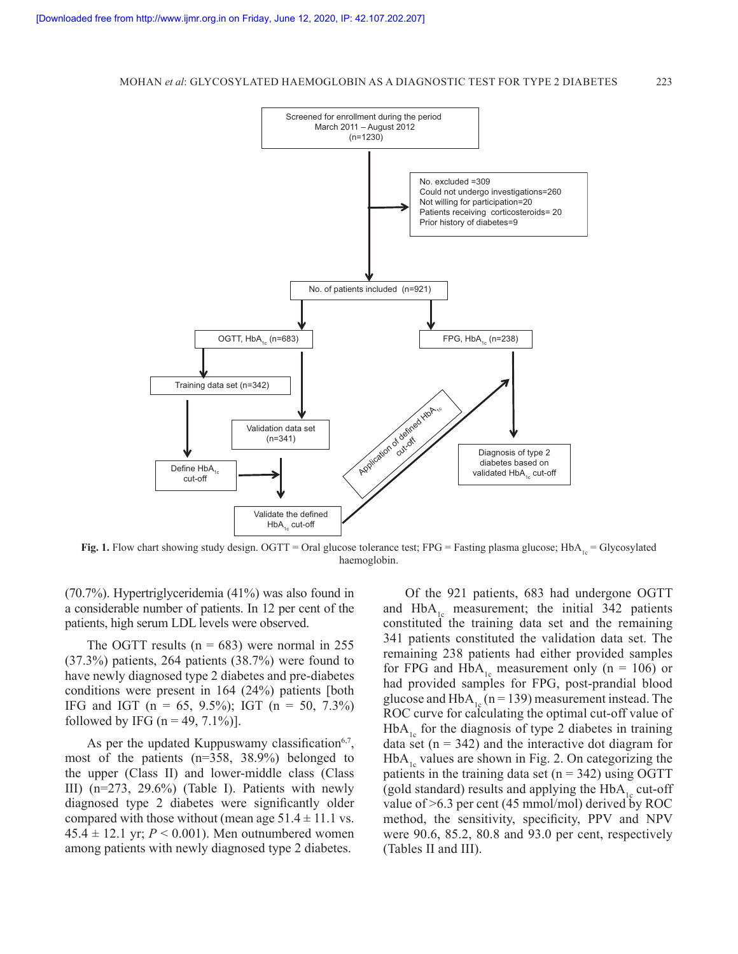#### MOHAN *et al*: GLYCOSYLATED HAEMOGLOBIN AS A DIAGNOSTIC TEST FOR TYPE 2 DIABETES 223



**Fig. 1.** Flow chart showing study design. OGTT = Oral glucose tolerance test; FPG = Fasting plasma glucose; HbA<sub>1c</sub> = Glycosylated haemoglobin.

(70.7%). Hypertriglyceridemia (41%) was also found in a considerable number of patients. In 12 per cent of the patients, high serum LDL levels were observed.

The OGTT results  $(n = 683)$  were normal in 255 (37.3%) patients, 264 patients (38.7%) were found to have newly diagnosed type 2 diabetes and pre-diabetes conditions were present in 164 (24%) patients [both IFG and IGT (n = 65, 9.5%); IGT (n = 50, 7.3%) followed by IFG  $(n = 49, 7.1\%)$ ].

As per the updated Kuppuswamy classification<sup>6,7</sup>, most of the patients (n=358, 38.9%) belonged to the upper (Class II) and lower-middle class (Class III) (n=273, 29.6%) (Table I). Patients with newly diagnosed type 2 diabetes were significantly older compared with those without (mean age  $51.4 \pm 11.1$  vs.  $45.4 \pm 12.1$  yr;  $P < 0.001$ ). Men outnumbered women among patients with newly diagnosed type 2 diabetes.

Of the 921 patients, 683 had undergone OGTT and  $HbA_{1c}$  measurement; the initial 342 patients constituted the training data set and the remaining 341 patients constituted the validation data set. The remaining 238 patients had either provided samples for FPG and HbA<sub>1c</sub> measurement only (n = 106) or had provided samples for FPG, post-prandial blood glucose and HbA<sub>1c</sub> (n = 139) measurement instead. The ROC curve for calculating the optimal cut-off value of  $HbA<sub>1c</sub>$  for the diagnosis of type 2 diabetes in training data set  $(n = 342)$  and the interactive dot diagram for  $HbA<sub>1c</sub>$  values are shown in Fig. 2. On categorizing the patients in the training data set  $(n = 342)$  using OGTT (gold standard) results and applying the  $HbA<sub>1c</sub>$  cut-off value of >6.3 per cent (45 mmol/mol) derived by ROC method, the sensitivity, specificity, PPV and NPV were 90.6, 85.2, 80.8 and 93.0 per cent, respectively (Tables II and III).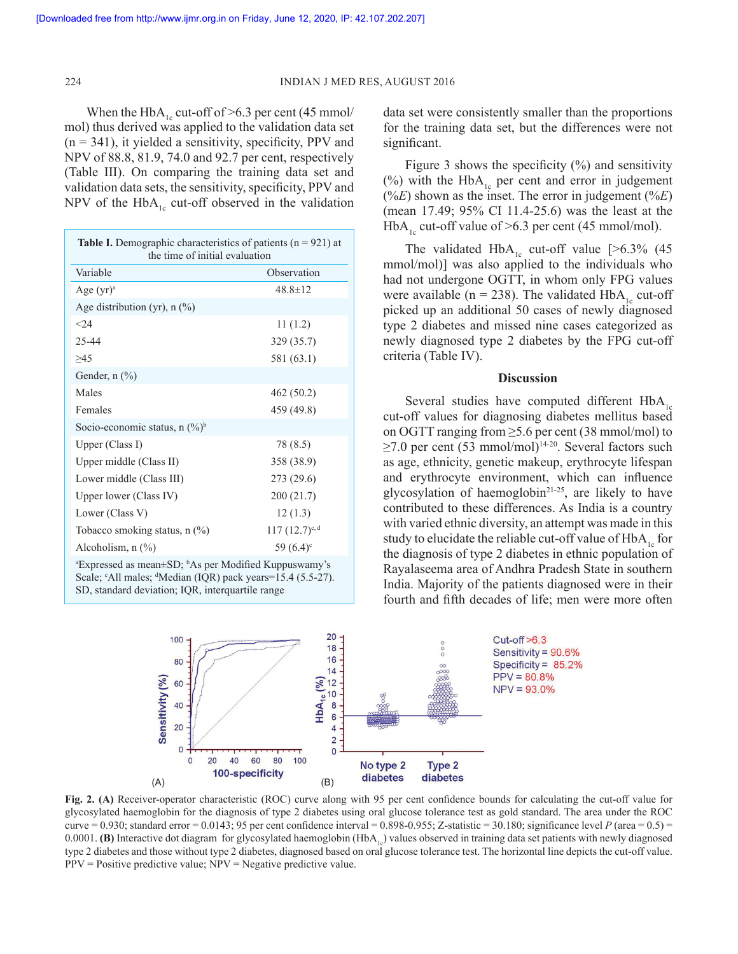When the HbA<sub>1c</sub> cut-off of >6.3 per cent (45 mmol/ mol) thus derived was applied to the validation data set  $(n = 341)$ , it yielded a sensitivity, specificity, PPV and NPV of 88.8, 81.9, 74.0 and 92.7 per cent, respectively (Table III). On comparing the training data set and validation data sets, the sensitivity, specificity, PPV and NPV of the HbA<sub>1c</sub> cut-off observed in the validation

| <b>Table I.</b> Demographic characteristics of patients $(n = 921)$ at<br>the time of initial evaluation |                         |  |  |  |
|----------------------------------------------------------------------------------------------------------|-------------------------|--|--|--|
| Variable                                                                                                 | Observation             |  |  |  |
| Age (yr) <sup>a</sup>                                                                                    | $48.8 \pm 12$           |  |  |  |
| Age distribution (yr), $n$ (%)                                                                           |                         |  |  |  |
| $<$ 24                                                                                                   | 11(1.2)                 |  |  |  |
| 25-44                                                                                                    | 329 (35.7)              |  |  |  |
| >45                                                                                                      | 581 (63.1)              |  |  |  |
| Gender, $n$ $(\%)$                                                                                       |                         |  |  |  |
| Males                                                                                                    | 462(50.2)               |  |  |  |
| Females                                                                                                  | 459 (49.8)              |  |  |  |
| Socio-economic status, n $(\%)^b$                                                                        |                         |  |  |  |
| Upper (Class I)                                                                                          | 78 (8.5)                |  |  |  |
| Upper middle (Class II)                                                                                  | 358 (38.9)              |  |  |  |
| Lower middle (Class III)                                                                                 | 273 (29.6)              |  |  |  |
| Upper lower (Class IV)                                                                                   | 200(21.7)               |  |  |  |
| Lower (Class V)                                                                                          | 12(1.3)                 |  |  |  |
| Tobacco smoking status, n (%)                                                                            | $117 (12.7)^{c,d}$      |  |  |  |
| Alcoholism, $n$ $(\%)$                                                                                   | 59 $(6.4)$ <sup>c</sup> |  |  |  |
| $\alpha$ <sup>a</sup> Expressed as moon $\pm$ CD <sup>, b</sup> $\alpha$ por Modified Kunnusyamy's       |                         |  |  |  |

<sup>a</sup>Expressed as mean±SD; <sup>b</sup>As per Modified Kuppuswamy's Scale; <sup>c</sup>All males; <sup>d</sup>Median (IQR) pack years=15.4 (5.5-27). SD, standard deviation; IQR, interquartile range

data set were consistently smaller than the proportions for the training data set, but the differences were not significant.

Figure 3 shows the specificity  $(\%)$  and sensitivity (%) with the HbA<sub>1c</sub> per cent and error in judgement  $(\%E)$  shown as the inset. The error in judgement  $(\%E)$ (mean 17.49; 95% CI 11.4-25.6) was the least at the HbA<sub>1c</sub> cut-off value of >6.3 per cent (45 mmol/mol).

The validated  $HbA_{1c}$  cut-off value [>6.3% (45 mmol/mol)] was also applied to the individuals who had not undergone OGTT, in whom only FPG values were available ( $n = 238$ ). The validated HbA<sub>1c</sub> cut-off picked up an additional 50 cases of newly diagnosed type 2 diabetes and missed nine cases categorized as newly diagnosed type 2 diabetes by the FPG cut-off criteria (Table IV).

# **Discussion**

Several studies have computed different  $HbA_{1c}$ cut-off values for diagnosing diabetes mellitus based on OGTT ranging from ≥5.6 per cent (38 mmol/mol) to  $\geq$ 7.0 per cent (53 mmol/mol)<sup>14-20</sup>. Several factors such as age, ethnicity, genetic makeup, erythrocyte lifespan and erythrocyte environment, which can influence glycosylation of haemoglobin<sup>21-25</sup>, are likely to have contributed to these differences. As India is a country with varied ethnic diversity, an attempt was made in this study to elucidate the reliable cut-off value of  $HbA<sub>1c</sub>$  for the diagnosis of type 2 diabetes in ethnic population of Rayalaseema area of Andhra Pradesh State in southern India. Majority of the patients diagnosed were in their fourth and fifth decades of life; men were more often



**Fig. 2. (A)** Receiver-operator characteristic (ROC) curve along with 95 per cent confidence bounds for calculating the cut-off value for glycosylated haemoglobin for the diagnosis of type 2 diabetes using oral glucose tolerance test as gold standard. The area under the ROC curve  $= 0.930$ ; standard error  $= 0.0143$ ; 95 per cent confidence interval  $= 0.898-0.955$ ; Z-statistic  $= 30.180$ ; significance level *P* (area  $= 0.5$ )  $=$ 0.0001. **(B)** Interactive dot diagram for glycosylated haemoglobin  $(HbA<sub>1<sub>0</sub></sub>)$  values observed in training data set patients with newly diagnosed type 2 diabetes and those without type 2 diabetes, diagnosed based on oral glucose tolerance test. The horizontal line depicts the cut-off value.  $PPV = Positive predictive value$ ;  $NPV = Negative predictive value$ .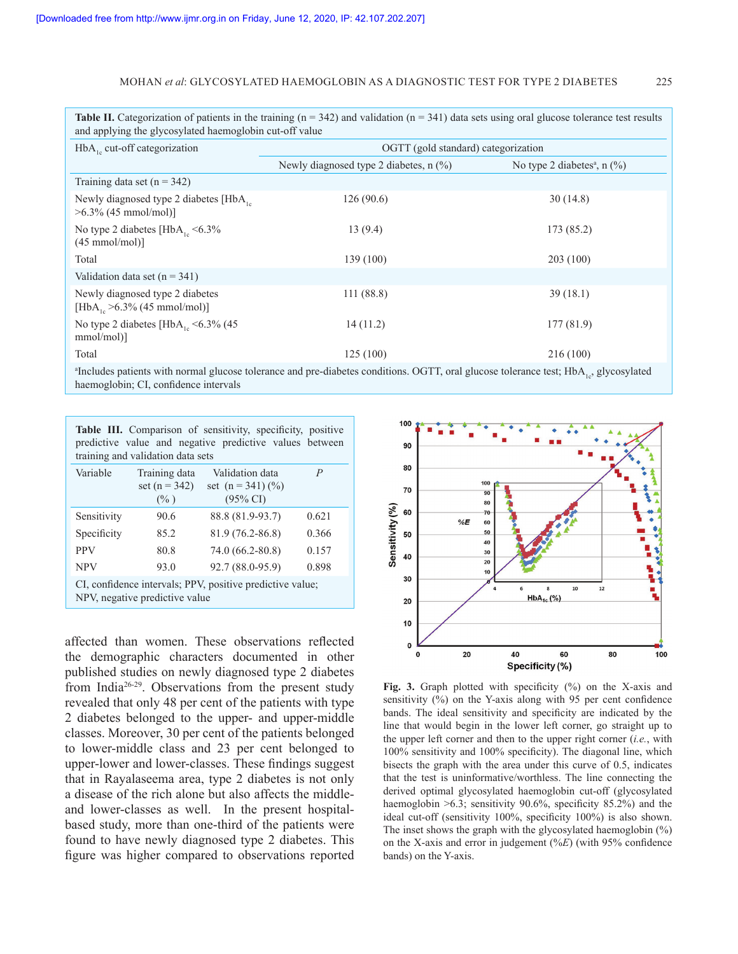#### MOHAN *et al*: GLYCOSYLATED HAEMOGLOBIN AS A DIAGNOSTIC TEST FOR TYPE 2 DIABETES 225

**Table II.** Categorization of patients in the training  $(n = 342)$  and validation  $(n = 341)$  data sets using oral glucose tolerance test results and applying the glycosylated haemoglobin cut-off value HbA<sub>1c</sub> cut-off categorization **OGTT** (gold standard) categorization Newly diagnosed type 2 diabetes,  $n$  (%) No type 2 diabetes<sup>a</sup>, n (%) Training data set  $(n = 342)$ Newly diagnosed type 2 diabetes  $[HbA<sub>1c</sub>]$ >6.3% (45 mmol/mol)] 126 (90.6) 30 (14.8) No type 2 diabetes  $[HbA<sub>1c</sub> < 6.3%$  $(45.5)$ 13 (9.4) 173 (85.2)

| $(45$ mmol/mol)                                                       |           |            |
|-----------------------------------------------------------------------|-----------|------------|
| Total                                                                 | 139 (100) | 203(100)   |
| Validation data set $(n = 341)$                                       |           |            |
| Newly diagnosed type 2 diabetes<br>$[HbA_{1c} > 6.3\% (45 mmol/mol)]$ | 111(88.8) | 39(18.1)   |
| No type 2 diabetes [HbA <sub>1c</sub> $\leq$ 6.3% (45<br>$mmol/mol$ ] | 14(11.2)  | 177 (81.9) |
| Total                                                                 | 125 (100) | 216(100)   |

 $a_{\rm{I}}$  Includes patients with normal glucose tolerance and pre-diabetes conditions. OGTT, oral glucose tolerance test;  $\rm{HbA}_{1c}$ , glycosylated haemoglobin; CI, confidence intervals

| Table III. Comparison of sensitivity, specificity, positive |  |  |  |
|-------------------------------------------------------------|--|--|--|
| predictive value and negative predictive values between     |  |  |  |
| training and validation data sets                           |  |  |  |

| Variable                                                                                    | Training data<br>set $(n = 342)$<br>$(\% )$ | Validation data<br>set $(n = 341)(\%)$<br>$(95\% \text{ CI})$ | P     |  |
|---------------------------------------------------------------------------------------------|---------------------------------------------|---------------------------------------------------------------|-------|--|
| Sensitivity                                                                                 | 90.6                                        | 88.8 (81.9-93.7)                                              | 0.621 |  |
| Specificity                                                                                 | 85.2                                        | 81.9 (76.2-86.8)                                              | 0.366 |  |
| <b>PPV</b>                                                                                  | 80.8                                        | 74.0 (66.2-80.8)                                              | 0.157 |  |
| <b>NPV</b>                                                                                  | 93.0                                        | 92.7 (88.0-95.9)                                              | 0.898 |  |
| CI, confidence intervals; PPV, positive predictive value;<br>NPV, negative predictive value |                                             |                                                               |       |  |

affected than women. These observations reflected the demographic characters documented in other published studies on newly diagnosed type 2 diabetes from India26-29. Observations from the present study revealed that only 48 per cent of the patients with type 2 diabetes belonged to the upper- and upper-middle classes. Moreover, 30 per cent of the patients belonged to lower-middle class and 23 per cent belonged to upper-lower and lower-classes. These findings suggest that in Rayalaseema area, type 2 diabetes is not only a disease of the rich alone but also affects the middleand lower-classes as well. In the present hospitalbased study, more than one-third of the patients were found to have newly diagnosed type 2 diabetes. This figure was higher compared to observations reported



**Fig. 3.** Graph plotted with specificity (%) on the X-axis and sensitivity (%) on the Y-axis along with 95 per cent confidence bands. The ideal sensitivity and specificity are indicated by the line that would begin in the lower left corner, go straight up to the upper left corner and then to the upper right corner (*i.e.*, with 100% sensitivity and 100% specificity). The diagonal line, which bisects the graph with the area under this curve of 0.5, indicates that the test is uninformative/worthless. The line connecting the derived optimal glycosylated haemoglobin cut-off (glycosylated haemoglobin  $>6.3$ ; sensitivity 90.6%, specificity 85.2%) and the ideal cut-off (sensitivity 100%, specificity 100%) is also shown. The inset shows the graph with the glycosylated haemoglobin (%) on the X-axis and error in judgement (%*E*) (with 95% confidence bands) on the Y-axis.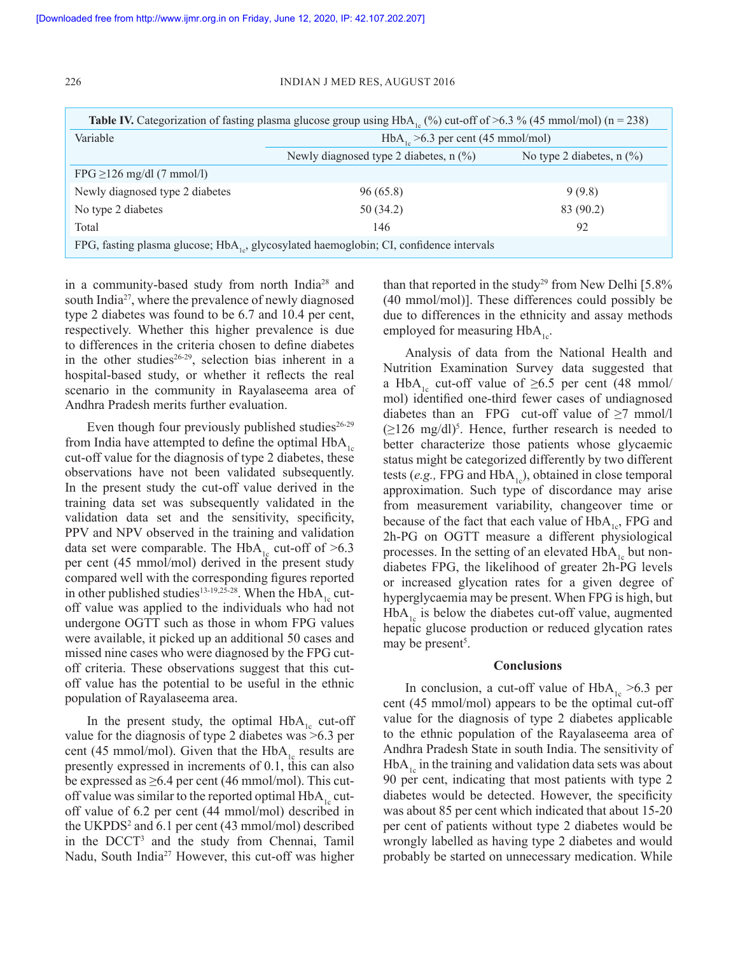#### 226 INDIAN J MED RES, AUGUST 2016

| <b>Table IV.</b> Categorization of fasting plasma glucose group using $HbA_6$ (%) cut-off of >6.3 % (45 mmol/mol) (n = 238) |                                                                         |           |  |
|-----------------------------------------------------------------------------------------------------------------------------|-------------------------------------------------------------------------|-----------|--|
| Variable                                                                                                                    | $HbA1 > 6.3$ per cent (45 mmol/mol)                                     |           |  |
|                                                                                                                             | Newly diagnosed type 2 diabetes, $n$ (%)<br>No type 2 diabetes, $n$ (%) |           |  |
| FPG $\geq$ 126 mg/dl (7 mmol/l)                                                                                             |                                                                         |           |  |
| Newly diagnosed type 2 diabetes                                                                                             | 96(65.8)                                                                | 9(9.8)    |  |
| No type 2 diabetes                                                                                                          | 50 (34.2)                                                               | 83 (90.2) |  |
| Total                                                                                                                       | 146                                                                     | 92        |  |
| FPG, fasting plasma glucose; HbA <sub>1,2</sub> , glycosylated haemoglobin; CI, confidence intervals                        |                                                                         |           |  |

in a community-based study from north India28 and south India<sup>27</sup>, where the prevalence of newly diagnosed type 2 diabetes was found to be 6.7 and 10.4 per cent, respectively. Whether this higher prevalence is due to differences in the criteria chosen to define diabetes in the other studies $26-29$ , selection bias inherent in a hospital-based study, or whether it reflects the real scenario in the community in Rayalaseema area of Andhra Pradesh merits further evaluation.

Even though four previously published studies $26-29$ from India have attempted to define the optimal  $HbA_{1c}$ cut-off value for the diagnosis of type 2 diabetes, these observations have not been validated subsequently. In the present study the cut-off value derived in the training data set was subsequently validated in the validation data set and the sensitivity, specificity, PPV and NPV observed in the training and validation data set were comparable. The HbA<sub>1c</sub> cut-off of  $>6.3$ per cent (45 mmol/mol) derived in the present study compared well with the corresponding figures reported in other published studies<sup>13-19,25-28</sup>. When the  $HbA<sub>1a</sub>$  cutoff value was applied to the individuals who had not undergone OGTT such as those in whom FPG values were available, it picked up an additional 50 cases and missed nine cases who were diagnosed by the FPG cutoff criteria. These observations suggest that this cutoff value has the potential to be useful in the ethnic population of Rayalaseema area.

In the present study, the optimal  $HbA_{1c}$  cut-off value for the diagnosis of type 2 diabetes was >6.3 per cent (45 mmol/mol). Given that the  $HbA_{1c}$  results are presently expressed in increments of 0.1, this can also be expressed as  $\geq 6.4$  per cent (46 mmol/mol). This cutoff value was similar to the reported optimal  $HbA<sub>1c</sub>$  cutoff value of 6.2 per cent (44 mmol/mol) described in the UKPDS<sup>2</sup> and 6.1 per cent (43 mmol/mol) described in the DCCT<sup>3</sup> and the study from Chennai, Tamil Nadu, South India<sup>27</sup> However, this cut-off was higher

than that reported in the study<sup>29</sup> from New Delhi  $[5.8\%$ (40 mmol/mol)]. These differences could possibly be due to differences in the ethnicity and assay methods employed for measuring  $HbA_{1c}$ .

Analysis of data from the National Health and Nutrition Examination Survey data suggested that a HbA<sub>1c</sub> cut-off value of  $\geq 6.5$  per cent (48 mmol/ mol) identified one-third fewer cases of undiagnosed diabetes than an FPG cut-off value of  $\geq 7$  mmol/l  $(\geq 126 \text{ mg/dl})^5$ . Hence, further research is needed to better characterize those patients whose glycaemic status might be categorized differently by two different tests (*e.g.*, FPG and  $HbA_{1c}$ ), obtained in close temporal approximation. Such type of discordance may arise from measurement variability, changeover time or because of the fact that each value of  $HbA_{1c}$ , FPG and 2h-PG on OGTT measure a different physiological processes. In the setting of an elevated  $HbA_{1c}$  but nondiabetes FPG, the likelihood of greater 2h-PG levels or increased glycation rates for a given degree of hyperglycaemia may be present. When FPG is high, but  $HbA<sub>1c</sub>$  is below the diabetes cut-off value, augmented hepatic glucose production or reduced glycation rates may be present<sup>5</sup>.

#### **Conclusions**

In conclusion, a cut-off value of  $HbA_{1c} > 6.3$  per cent (45 mmol/mol) appears to be the optimal cut-off value for the diagnosis of type 2 diabetes applicable to the ethnic population of the Rayalaseema area of Andhra Pradesh State in south India. The sensitivity of  $HbA<sub>1c</sub>$  in the training and validation data sets was about 90 per cent, indicating that most patients with type 2 diabetes would be detected. However, the specificity was about 85 per cent which indicated that about 15-20 per cent of patients without type 2 diabetes would be wrongly labelled as having type 2 diabetes and would probably be started on unnecessary medication. While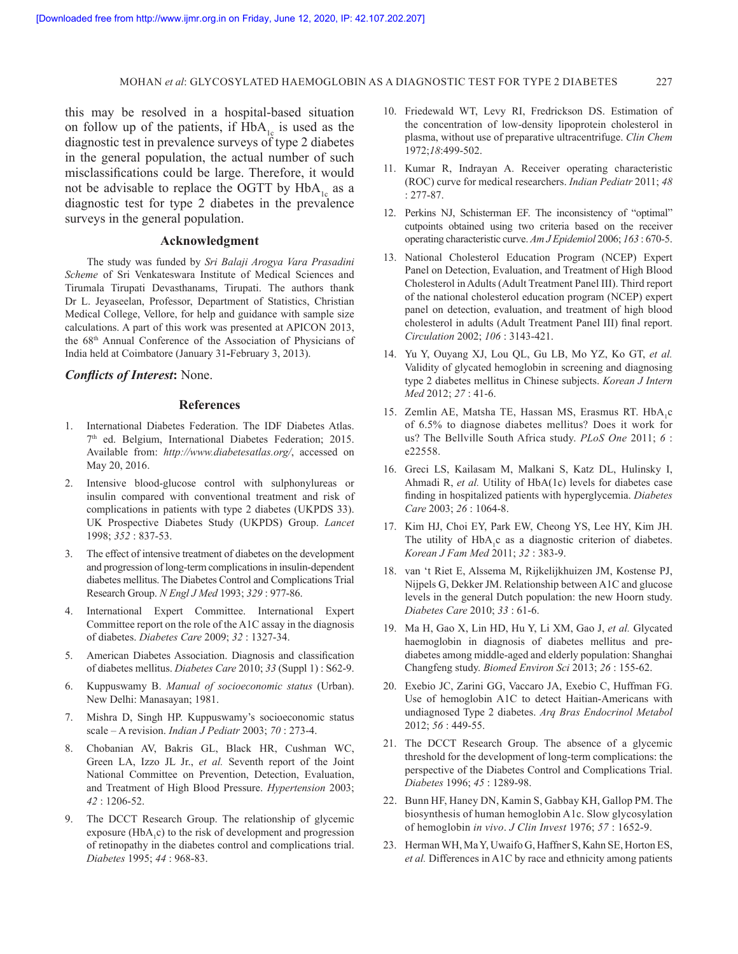#### MOHAN *et al*: GLYCOSYLATED HAEMOGLOBIN AS A DIAGNOSTIC TEST FOR TYPE 2 DIABETES 227

this may be resolved in a hospital-based situation on follow up of the patients, if  $HbA_{1c}$  is used as the diagnostic test in prevalence surveys of type 2 diabetes in the general population, the actual number of such misclassifications could be large. Therefore, it would not be advisable to replace the OGTT by  $HbA_{1c}$  as a diagnostic test for type 2 diabetes in the prevalence surveys in the general population.

## **Acknowledgment**

The study was funded by *Sri Balaji Arogya Vara Prasadini Scheme* of Sri Venkateswara Institute of Medical Sciences and Tirumala Tirupati Devasthanams, Tirupati. The authors thank Dr L. Jeyaseelan, Professor, Department of Statistics, Christian Medical College, Vellore, for help and guidance with sample size calculations. A part of this work was presented at APICON 2013, the 68th Annual Conference of the Association of Physicians of India held at Coimbatore (January 31**-**February 3, 2013).

# *Conflicts of Interest***:** None.

# **References**

- 1. International Diabetes Federation. The IDF Diabetes Atlas. 7th ed. Belgium, International Diabetes Federation; 2015. Available from: *http://www.diabetesatlas.org/*, accessed on May 20, 2016.
- 2. Intensive blood-glucose control with sulphonylureas or insulin compared with conventional treatment and risk of complications in patients with type 2 diabetes (UKPDS 33). UK Prospective Diabetes Study (UKPDS) Group. *Lancet* 1998; *352* : 837-53.
- 3. The effect of intensive treatment of diabetes on the development and progression of long-term complications in insulin-dependent diabetes mellitus. The Diabetes Control and Complications Trial Research Group. *N Engl J Med* 1993; *329* : 977-86.
- 4. International Expert Committee. International Expert Committee report on the role of the A1C assay in the diagnosis of diabetes. *Diabetes Care* 2009; *32* : 1327-34.
- 5. American Diabetes Association. Diagnosis and classification of diabetes mellitus. *Diabetes Care* 2010; *33* (Suppl 1) : S62-9.
- 6. Kuppuswamy B. *Manual of socioeconomic status* (Urban). New Delhi: Manasayan; 1981.
- 7. Mishra D, Singh HP. Kuppuswamy's socioeconomic status scale – A revision. *Indian J Pediatr* 2003; *70* : 273-4.
- 8. Chobanian AV, Bakris GL, Black HR, Cushman WC, Green LA, Izzo JL Jr., *et al.* Seventh report of the Joint National Committee on Prevention, Detection, Evaluation, and Treatment of High Blood Pressure. *Hypertension* 2003; *42* : 1206-52.
- 9. The DCCT Research Group. The relationship of glycemic exposure  $(HbA_1c)$  to the risk of development and progression of retinopathy in the diabetes control and complications trial. *Diabetes* 1995; *44* : 968-83.
- 10. Friedewald WT, Levy RI, Fredrickson DS. Estimation of the concentration of low-density lipoprotein cholesterol in plasma, without use of preparative ultracentrifuge. *Clin Chem* 1972;*18*:499-502.
- 11. Kumar R, Indrayan A. Receiver operating characteristic (ROC) curve for medical researchers. *Indian Pediatr* 2011; *48* : 277-87.
- 12. Perkins NJ, Schisterman EF. The inconsistency of "optimal" cutpoints obtained using two criteria based on the receiver operating characteristic curve. *Am J Epidemiol* 2006; *163* : 670-5.
- 13. National Cholesterol Education Program (NCEP) Expert Panel on Detection, Evaluation, and Treatment of High Blood Cholesterol in Adults (Adult Treatment Panel III). Third report of the national cholesterol education program (NCEP) expert panel on detection, evaluation, and treatment of high blood cholesterol in adults (Adult Treatment Panel III) final report. *Circulation* 2002; *106* : 3143-421.
- 14. Yu Y, Ouyang XJ, Lou QL, Gu LB, Mo YZ, Ko GT, *et al.* Validity of glycated hemoglobin in screening and diagnosing type 2 diabetes mellitus in Chinese subjects. *Korean J Intern Med* 2012; *27* : 41-6.
- 15. Zemlin AE, Matsha TE, Hassan MS, Erasmus RT. HbA<sub>1</sub>c of 6.5% to diagnose diabetes mellitus? Does it work for us? The Bellville South Africa study. *PLoS One* 2011; *6* : e22558.
- 16. Greci LS, Kailasam M, Malkani S, Katz DL, Hulinsky I, Ahmadi R, *et al.* Utility of HbA(1c) levels for diabetes case finding in hospitalized patients with hyperglycemia. *Diabetes Care* 2003; *26* : 1064-8.
- 17. Kim HJ, Choi EY, Park EW, Cheong YS, Lee HY, Kim JH. The utility of  $HbA_1c$  as a diagnostic criterion of diabetes. *Korean J Fam Med* 2011; *32* : 383-9.
- 18. van 't Riet E, Alssema M, Rijkelijkhuizen JM, Kostense PJ, Nijpels G, Dekker JM. Relationship between A1C and glucose levels in the general Dutch population: the new Hoorn study. *Diabetes Care* 2010; *33* : 61-6.
- 19. Ma H, Gao X, Lin HD, Hu Y, Li XM, Gao J, *et al.* Glycated haemoglobin in diagnosis of diabetes mellitus and prediabetes among middle-aged and elderly population: Shanghai Changfeng study. *Biomed Environ Sci* 2013; *26* : 155-62.
- 20. Exebio JC, Zarini GG, Vaccaro JA, Exebio C, Huffman FG. Use of hemoglobin A1C to detect Haitian-Americans with undiagnosed Type 2 diabetes. *Arq Bras Endocrinol Metabol* 2012; *56* : 449-55.
- 21. The DCCT Research Group. The absence of a glycemic threshold for the development of long-term complications: the perspective of the Diabetes Control and Complications Trial. *Diabetes* 1996; *45* : 1289-98.
- 22. Bunn HF, Haney DN, Kamin S, Gabbay KH, Gallop PM. The biosynthesis of human hemoglobin A1c. Slow glycosylation of hemoglobin *in vivo*. *J Clin Invest* 1976; *57* : 1652-9.
- 23. Herman WH, Ma Y, Uwaifo G, Haffner S, Kahn SE, Horton ES, *et al.* Differences in A1C by race and ethnicity among patients